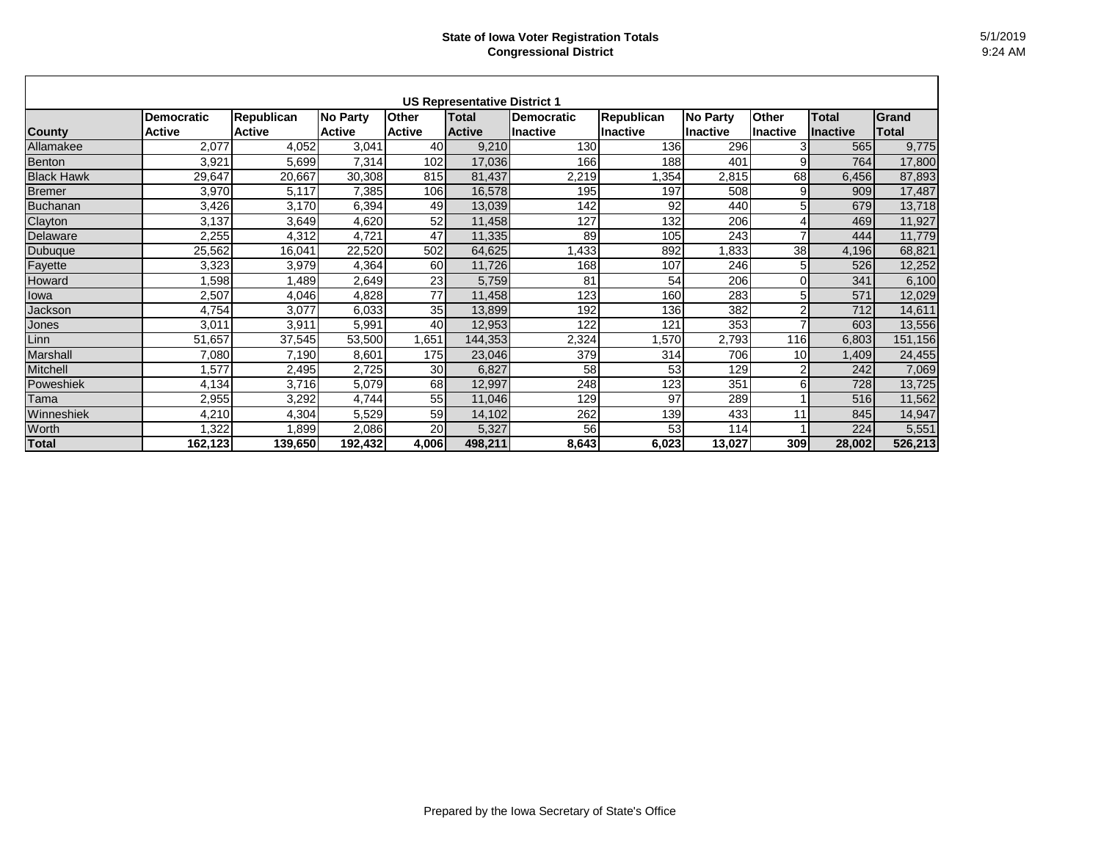|                   |                   |                   |                 |               | <b>US Representative District 1</b> |                   |                   |                 |                 |                 |         |
|-------------------|-------------------|-------------------|-----------------|---------------|-------------------------------------|-------------------|-------------------|-----------------|-----------------|-----------------|---------|
|                   | <b>Democratic</b> | <b>Republican</b> | <b>No Party</b> | <b>Other</b>  | Total                               | <b>Democratic</b> | <b>Republican</b> | <b>No Party</b> | <b>Other</b>    | <b>Total</b>    | Grand   |
| <b>County</b>     | <b>Active</b>     | <b>Active</b>     | <b>Active</b>   | <b>Active</b> | <b>Active</b>                       | lInactive         | Ilnactive         | Inactive        | <b>Inactive</b> | <b>Inactive</b> | Total   |
| Allamakee         | 2,077             | 4,052             | 3,041           | 40            | 9,210                               | 130               | 136               | 296             | 3               | 565             | 9,775   |
| Benton            | 3,921             | 5,699             | 7,314           | 102           | 17,036                              | 166               | 188               | 401             | 9               | 764             | 17,800  |
| <b>Black Hawk</b> | 29,647            | 20,667            | 30,308          | 815           | 81,437                              | 2,219             | ,354              | 2,815           | 68              | 6,456           | 87,893  |
| <b>Bremer</b>     | 3,970             | 5,117             | 7,385           | 106           | 16,578                              | 195               | 197               | 508             | 9               | 909             | 17,487  |
| Buchanan          | 3,426             | 3,170             | 6,394           | 49            | 13,039                              | 142               | 92                | 440             | 5               | 679             | 13,718  |
| Clayton           | 3,137             | 3,649             | 4,620           | 52            | 11,458                              | 127               | 132               | 206             | 4               | 469             | 11,927  |
| Delaware          | 2,255             | 4,312             | 4,721           | 47            | 11,335                              | 89                | 105               | 243             | $\overline{7}$  | 444             | 11,779  |
| Dubuque           | 25,562            | 16,041            | 22,520          | 502           | 64,625                              | ,433              | 892               | 1,833           | 38              | 4,196           | 68,821  |
| Fayette           | 3,323             | 3,979             | 4,364           | 60            | 11,726                              | 168               | 107               | 246             | 5               | 526             | 12,252  |
| Howard            | ,598              | ,489              | 2,649           | 23            | 5,759                               | 81                | 54                | 206             | $\Omega$        | 341             | 6,100   |
| lowa              | 2,507             | 4,046             | 4,828           | 77            | 11,458                              | 123               | 160               | 283             | 5               | 571             | 12,029  |
| Jackson           | 4,754             | 3,077             | 6,033           | 35            | 13,899                              | 192               | 136               | 382             | $\overline{2}$  | 712             | 14,611  |
| Jones             | 3,011             | 3,911             | 5,991           | 40            | 12,953                              | 122               | 121               | 353             | ⇁               | 603             | 13,556  |
| Linn              | 51,657            | 37,545            | 53,500          | 1,651         | 144,353                             | 2,324             | ,570              | 2,793           | 116             | 6,803           | 151,156 |
| Marshall          | 7,080             | 7,190             | 8,601           | 175           | 23,046                              | 379               | 314               | 706             | 10 <sup>1</sup> | 1,409           | 24,455  |
| Mitchell          | ,577              | 2,495             | 2,725           | 30            | 6,827                               | 58                | 53                | 129             | $\overline{c}$  | 242             | 7,069   |
| Poweshiek         | 4,134             | 3,716             | 5,079           | 68            | 12,997                              | 248               | 123               | 351             | $6 \mid$        | 728             | 13,725  |
| Tama              | 2,955             | 3,292             | 4,744           | 55            | 11,046                              | 129               | 97                | 289             |                 | 516             | 11,562  |
| Winneshiek        | 4,210             | 4,304             | 5,529           | 59            | 14,102                              | 262               | 139               | 433             | 11              | 845             | 14,947  |
| Worth             | ,322              | ,899              | 2,086           | 20            | 5,327                               | 56                | 53                | 114             |                 | 224             | 5,551   |
| <b>Total</b>      | 162,123           | 139,650           | 192,432         | 4,006         | 498,211                             | 8,643             | 6,023             | 13,027          | 309             | 28,002          | 526,213 |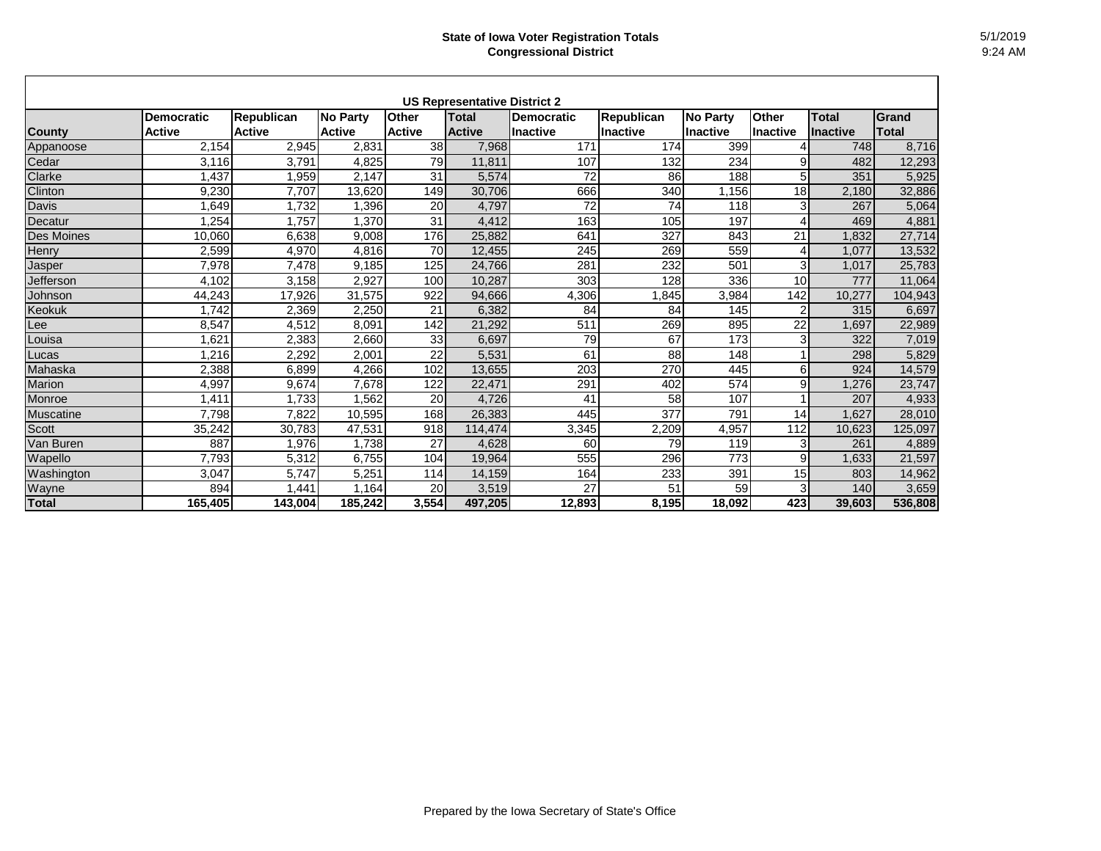| <b>US Representative District 2</b> |                                    |                                    |                           |                               |                               |                                      |                                |                                    |                          |                                 |                |
|-------------------------------------|------------------------------------|------------------------------------|---------------------------|-------------------------------|-------------------------------|--------------------------------------|--------------------------------|------------------------------------|--------------------------|---------------------------------|----------------|
| <b>County</b>                       | <b>Democratic</b><br><b>Active</b> | <b>Republican</b><br><b>Active</b> | No Party<br><b>Active</b> | <b>Other</b><br><b>Active</b> | <b>Total</b><br><b>Active</b> | <b>Democratic</b><br><b>Inactive</b> | <b>Republican</b><br>lInactive | <b>No Party</b><br><b>Inactive</b> | Other<br><b>Inactive</b> | <b>Total</b><br><b>Inactive</b> | Grand<br>Total |
| Appanoose                           | 2,154                              | 2,945                              | 2,831                     | 38                            | 7,968                         | 171                                  | 174                            | 399                                |                          | 748                             | 8,716          |
| Cedar                               | 3,116                              | 3,791                              | 4,825                     | 79                            | 11,811                        | 107                                  | 132                            | 234                                | 9                        | 482                             | 12,293         |
| Clarke                              | 1,437                              | ,959                               | 2,147                     | 31                            | 5,574                         | 72                                   | 86                             | 188                                | 5                        | 351                             | 5,925          |
| Clinton                             | 9,230                              | 7,707                              | 13,620                    | 149                           | 30,706                        | 666                                  | 340                            | 1,156                              | 18                       | 2,180                           | 32,886         |
| <b>Davis</b>                        | ,649                               | 1,732                              | ,396                      | 20                            | 4,797                         | $\overline{72}$                      | 74                             | 118                                | 3                        | 267                             | 5,064          |
| Decatur                             | ,254                               | .757                               | ,370                      | 31                            | 4,412                         | 163                                  | 105                            | 197                                | 4                        | 469                             | 4,881          |
| <b>Des Moines</b>                   | 10,060                             | 6,638                              | 9,008                     | 176                           | 25,882                        | 641                                  | 327                            | 843                                | 21                       | ,832                            | 27,714         |
| Henry                               | 2,599                              | 4,970                              | 4,816                     | 70                            | 12,455                        | 245                                  | 269                            | 559                                | 4                        | 1,077                           | 13,532         |
| Jasper                              | 7,978                              | 7,478                              | 9,185                     | 125                           | 24,766                        | 281                                  | 232                            | 501                                | 3                        | 1,017                           | 25,783         |
| Jefferson                           | 4,102                              | 3,158                              | 2,927                     | 100                           | 10,287                        | 303                                  | 128                            | 336                                | 10                       | 777                             | 11,064         |
| Johnson                             | 44,243                             | 17,926                             | 31,575                    | 922                           | 94,666                        | 4,306                                | ,845                           | 3,984                              | 142                      | 10,277                          | 104,943        |
| Keokuk                              | 1,742                              | 2,369                              | 2,250                     | 21                            | 6,382                         | 84                                   | 84                             | 145                                | $\overline{2}$           | 315                             | 6,697          |
| Lee                                 | 8,547                              | 4,512                              | 8,091                     | 142                           | 21,292                        | 511                                  | 269                            | 895                                | $\overline{22}$          | 1,697                           | 22,989         |
| _ouisa                              | ,621                               | 2,383                              | 2,660                     | 33                            | 6,697                         | 79                                   | 67                             | 173                                | 3                        | 322                             | 7,019          |
| Lucas                               | 1,216                              | 2,292                              | 2,001                     | 22                            | 5,531                         | 61                                   | 88                             | 148                                |                          | 298                             | 5,829          |
| Mahaska                             | 2,388                              | 6,899                              | 4,266                     | 102                           | 13,655                        | 203                                  | 270                            | 445                                | 6                        | 924                             | 14,579         |
| Marion                              | 4,997                              | 9,674                              | 7,678                     | 122                           | 22,471                        | 291                                  | 402                            | 574                                | 9                        | ,276                            | 23,747         |
| Monroe                              | 1,411                              | 1,733                              | 1,562                     | 20                            | 4,726                         | 41                                   | 58                             | 107                                |                          | 207                             | 4,933          |
| <b>Muscatine</b>                    | 7,798                              | 7,822                              | 10,595                    | 168                           | 26,383                        | 445                                  | 377                            | 791                                | 14                       | 1,627                           | 28,010         |
| <b>Scott</b>                        | 35,242                             | 30,783                             | 47,531                    | 918                           | 114,474                       | 3,345                                | 2,209                          | 4,957                              | 112                      | 10,623                          | 125,097        |
| Van Buren                           | 887                                | .976                               | 1,738                     | 27                            | 4,628                         | 60                                   | 79                             | 119                                | 3                        | 261                             | 4,889          |
| Wapello                             | 7,793                              | 5,312                              | 6,755                     | 104                           | 19,964                        | 555                                  | 296                            | 773                                | 9                        | 1,633                           | 21,597         |
| Washington                          | 3,047                              | 5,747                              | 5,251                     | 114                           | 14,159                        | 164                                  | 233                            | 391                                | 15                       | 803                             | 14,962         |
| Wayne                               | 894                                | ,441                               | 1,164                     | 20                            | 3,519                         | 27                                   | 51                             | 59                                 | 3 <sub>l</sub>           | 140                             | 3,659          |
| <b>Total</b>                        | 165,405                            | 143,004                            | 185,242                   | 3,554                         | 497,205                       | 12,893                               | 8,195                          | 18,092                             | 423                      | 39,603                          | 536,808        |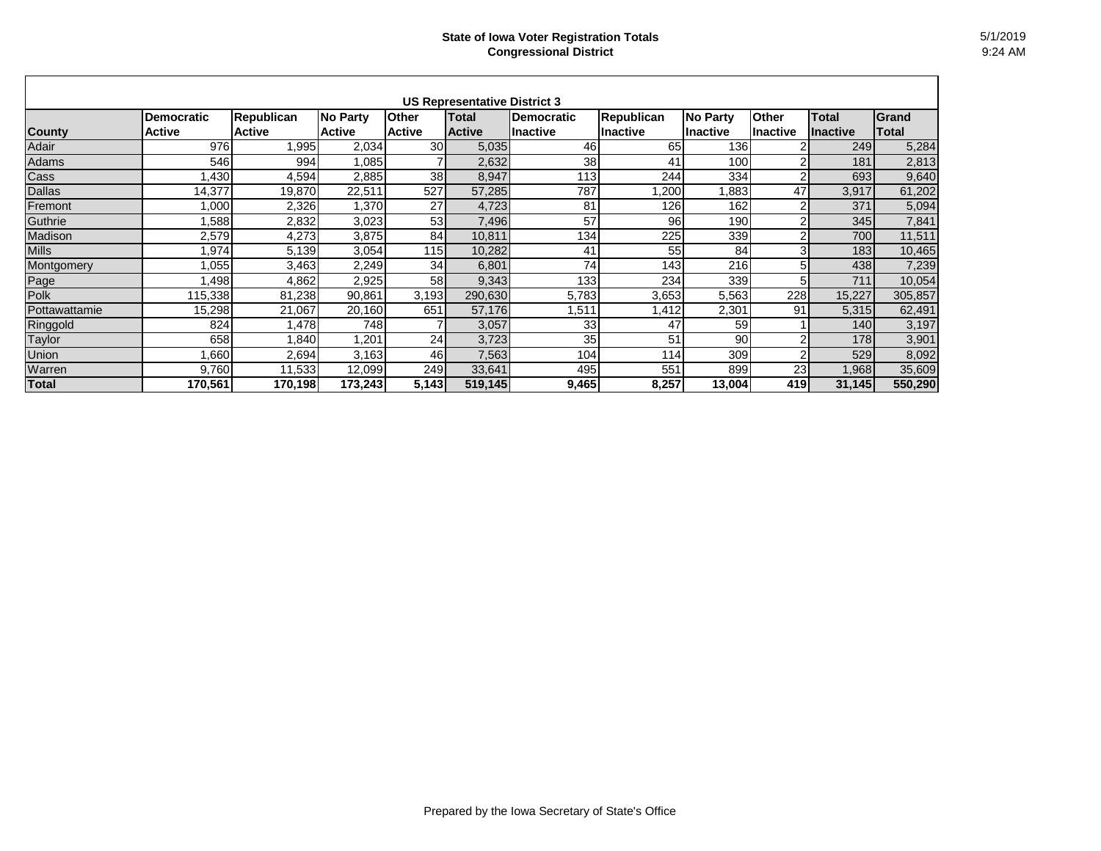|               |                   |                   |               |               | <b>US Representative District 3</b> |                   |                   |                 |                 |                 |              |
|---------------|-------------------|-------------------|---------------|---------------|-------------------------------------|-------------------|-------------------|-----------------|-----------------|-----------------|--------------|
|               | <b>Democratic</b> | <b>Republican</b> | No Party      | <b>Other</b>  | <b>Total</b>                        | <b>Democratic</b> | <b>Republican</b> | <b>No Party</b> | <b>Other</b>    | <b>Total</b>    | Grand        |
| <b>County</b> | <b>Active</b>     | <b>Active</b>     | <b>Active</b> | <b>Active</b> | <b>Active</b>                       | llnactive         | Inactive          | <b>Inactive</b> | <b>Inactive</b> | <b>Inactive</b> | <b>Total</b> |
| Adair         | 976               | 1,995             | 2,034         | 30            | 5,035                               | 46                | 65                | 1361            |                 | 249             | 5,284        |
| Adams         | 546               | 994               | 1,085         |               | 2,632                               | 38                | 41                | 100             | 2               | 181             | 2,813        |
| Cass          | ,430              | 4,594             | 2,885         | 38            | 8,947                               | 113               | 244               | 334             | $\overline{2}$  | 693             | 9,640        |
| <b>Dallas</b> | 14,377            | 19,870            | 22,511        | 527           | 57,285                              | 787               | ,200              | ,883            | 47              | 3,917           | 61,202       |
| Fremont       | 1,000             | 2,326             | 1,370         | 27            | 4,723                               | 81                | 126               | 162             | 2               | 371             | 5,094        |
| Guthrie       | 1,588             | 2,832             | 3,023         | 53            | 7,496                               | 57                | 96                | 190             | $\overline{2}$  | 345             | 7,841        |
| Madison       | 2,579             | 4,273             | 3,875         | 84            | 10,811                              | 134               | 225               | 339             | $\overline{2}$  | 700             | 11,511       |
| <b>Mills</b>  | 1,974             | 5,139             | 3,054         | 115           | 10,282                              | 41                | 55                | 84              | 3               | 183             | 10,465       |
| Montgomery    | 1,055             | 3,463             | 2,249         | 34            | 6,801                               | 74                | 143               | 216             | 5               | 438             | 7,239        |
| Page          | 1,498             | 4,862             | 2,925         | 58            | 9,343                               | 133               | 234               | 339             | 5               | 711             | 10,054       |
| Polk          | 115,338           | 81,238            | 90,861        | 3,193         | 290,630                             | 5,783             | 3,653             | 5,563           | 228             | 15,227          | 305,857      |
| Pottawattamie | 15,298            | 21,067            | 20,160        | 651           | 57,176                              | ,511              | ,412              | 2,301           | 91              | 5,315           | 62,491       |
| Ringgold      | 824               | ,478              | 748           |               | 3,057                               | 33                | 47                | 59              |                 | 140             | 3,197        |
| Taylor        | 658               | 1,840             | 1,201         | 24            | 3,723                               | 35                | 51                | 90              | 2               | 178             | 3,901        |
| Union         | ,660              | 2,694             | 3,163         | 46            | 7,563                               | 104               | 114               | 309             | $\overline{2}$  | 529             | 8,092        |
| Warren        | 9,760             | 11,533            | 12,099        | 249           | 33,641                              | 495               | 551               | 899             | 23              | ,968            | 35,609       |
| Total         | 170,561           | 170,198           | 173,243       | 5,143         | 519,145                             | 9,465             | 8,257             | 13,004          | 419             | 31,145          | 550,290      |